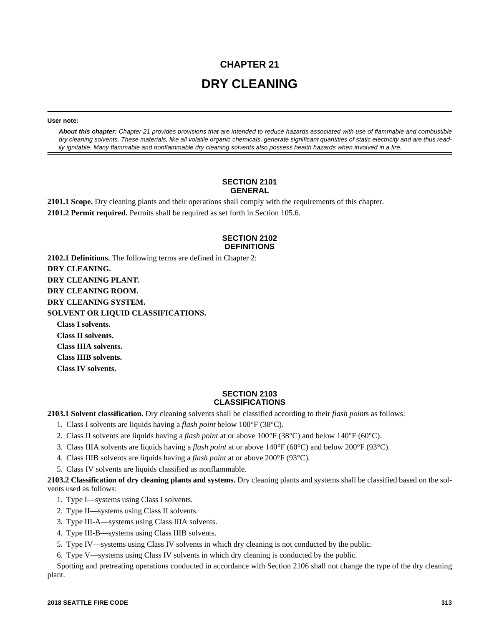# **CHAPTER 21 DRY CLEANING**

**User note:**

*About this chapter: Chapter 21 provides provisions that are intended to reduce hazards associated with use of flammable and combustible dry cleaning solvents. These materials, like all volatile organic chemicals, generate significant quantities of static electricity and are thus readily ignitable. Many flammable and nonflammable dry cleaning solvents also possess health hazards when involved in a fire.* 

### **SECTION 2101 GENERAL**

**2101.1 Scope.** Dry cleaning plants and their operations shall comply with the requirements of this chapter. **2101.2 Permit required.** Permits shall be required as set forth in Section 105.6.

## **SECTION 2102 DEFINITIONS**

**2102.1 Definitions.** The following terms are defined in Chapter 2: **DRY CLEANING. DRY CLEANING PLANT. DRY CLEANING ROOM. DRY CLEANING SYSTEM. SOLVENT OR LIQUID CLASSIFICATIONS. Class I solvents.**

**Class II solvents. Class IIIA solvents. Class IIIB solvents. Class IV solvents.**

## **SECTION 2103 CLASSIFICATIONS**

**2103.1 Solvent classification.** Dry cleaning solvents shall be classified according to their *flash point*s as follows:

- 1. Class I solvents are liquids having a *flash point* below 100°F (38°C).
- 2. Class II solvents are liquids having a *flash point* at or above 100°F (38°C) and below 140°F (60°C).
- 3. Class IIIA solvents are liquids having a *flash point* at or above 140°F (60°C) and below 200°F (93°C).
- 4. Class IIIB solvents are liquids having a *flash point* at or above 200°F (93°C).
- 5. Class IV solvents are liquids classified as nonflammable.

**2103.2 Classification of dry cleaning plants and systems.** Dry cleaning plants and systems shall be classified based on the solvents used as follows:

- 1. Type I—systems using Class I solvents.
- 2. Type II—systems using Class II solvents.
- 3. Type III-A—systems using Class IIIA solvents.
- 4. Type III-B—systems using Class IIIB solvents.
- 5. Type IV—systems using Class IV solvents in which dry cleaning is not conducted by the public.
- 6. Type V—systems using Class IV solvents in which dry cleaning is conducted by the public.

Spotting and pretreating operations conducted in accordance with Section 2106 shall not change the type of the dry cleaning plant.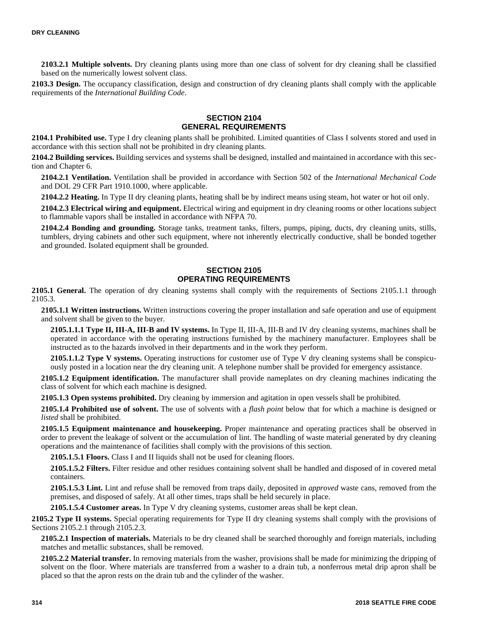**2103.2.1 Multiple solvents.** Dry cleaning plants using more than one class of solvent for dry cleaning shall be classified based on the numerically lowest solvent class.

**2103.3 Design.** The occupancy classification, design and construction of dry cleaning plants shall comply with the applicable requirements of the *International Building Code*.

### **SECTION 2104 GENERAL REQUIREMENTS**

**2104.1 Prohibited use.** Type I dry cleaning plants shall be prohibited. Limited quantities of Class I solvents stored and used in accordance with this section shall not be prohibited in dry cleaning plants.

**2104.2 Building services.** Building services and systems shall be designed, installed and maintained in accordance with this section and Chapter 6.

**2104.2.1 Ventilation.** Ventilation shall be provided in accordance with Section 502 of the *International Mechanical Code* and DOL 29 CFR Part 1910.1000, where applicable.

**2104.2.2 Heating.** In Type II dry cleaning plants, heating shall be by indirect means using steam, hot water or hot oil only.

**2104.2.3 Electrical wiring and equipment.** Electrical wiring and equipment in dry cleaning rooms or other locations subject to flammable vapors shall be installed in accordance with NFPA 70.

**2104.2.4 Bonding and grounding.** Storage tanks, treatment tanks, filters, pumps, piping, ducts, dry cleaning units, stills, tumblers, drying cabinets and other such equipment, where not inherently electrically conductive, shall be bonded together and grounded. Isolated equipment shall be grounded.

## **SECTION 2105 OPERATING REQUIREMENTS**

**2105.1 General.** The operation of dry cleaning systems shall comply with the requirements of Sections 2105.1.1 through 2105.3.

**2105.1.1 Written instructions.** Written instructions covering the proper installation and safe operation and use of equipment and solvent shall be given to the buyer.

**2105.1.1.1 Type II, III-A, III-B and IV systems.** In Type II, III-A, III-B and IV dry cleaning systems, machines shall be operated in accordance with the operating instructions furnished by the machinery manufacturer. Employees shall be instructed as to the hazards involved in their departments and in the work they perform.

**2105.1.1.2 Type V systems.** Operating instructions for customer use of Type V dry cleaning systems shall be conspicuously posted in a location near the dry cleaning unit. A telephone number shall be provided for emergency assistance.

**2105.1.2 Equipment identification.** The manufacturer shall provide nameplates on dry cleaning machines indicating the class of solvent for which each machine is designed.

**2105.1.3 Open systems prohibited.** Dry cleaning by immersion and agitation in open vessels shall be prohibited.

**2105.1.4 Prohibited use of solvent.** The use of solvents with a *flash point* below that for which a machine is designed or *listed* shall be prohibited.

**2105.1.5 Equipment maintenance and housekeeping.** Proper maintenance and operating practices shall be observed in order to prevent the leakage of solvent or the accumulation of lint. The handling of waste material generated by dry cleaning operations and the maintenance of facilities shall comply with the provisions of this section.

**2105.1.5.1 Floors.** Class I and II liquids shall not be used for cleaning floors.

**2105.1.5.2 Filters.** Filter residue and other residues containing solvent shall be handled and disposed of in covered metal containers.

**2105.1.5.3 Lint.** Lint and refuse shall be removed from traps daily, deposited in *approved* waste cans, removed from the premises, and disposed of safely. At all other times, traps shall be held securely in place.

**2105.1.5.4 Customer areas.** In Type V dry cleaning systems, customer areas shall be kept clean.

**2105.2 Type II systems.** Special operating requirements for Type II dry cleaning systems shall comply with the provisions of Sections 2105.2.1 through 2105.2.3.

**2105.2.1 Inspection of materials.** Materials to be dry cleaned shall be searched thoroughly and foreign materials, including matches and metallic substances, shall be removed.

**2105.2.2 Material transfer.** In removing materials from the washer, provisions shall be made for minimizing the dripping of solvent on the floor. Where materials are transferred from a washer to a drain tub, a nonferrous metal drip apron shall be placed so that the apron rests on the drain tub and the cylinder of the washer.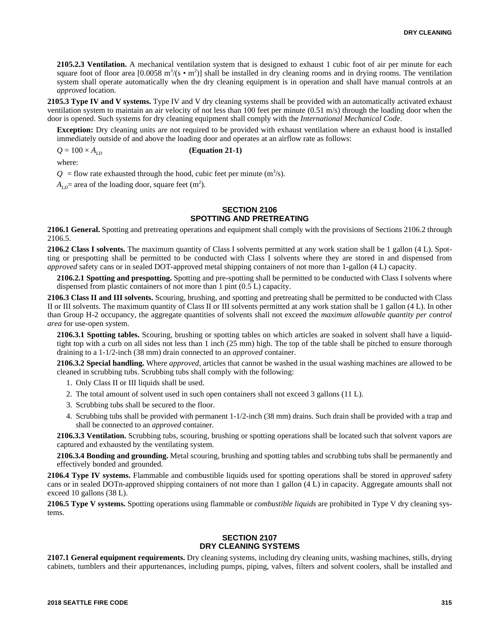**2105.2.3 Ventilation.** A mechanical ventilation system that is designed to exhaust 1 cubic foot of air per minute for each square foot of floor area [0.0058 m<sup>3</sup>/(s • m<sup>2</sup>)] shall be installed in dry cleaning rooms and in drying rooms. The ventilation system shall operate automatically when the dry cleaning equipment is in operation and shall have manual controls at an *approved* location.

**2105.3 Type IV and V systems.** Type IV and V dry cleaning systems shall be provided with an automatically activated exhaust ventilation system to maintain an air velocity of not less than 100 feet per minute (0.51 m/s) through the loading door when the door is opened. Such systems for dry cleaning equipment shall comply with the *International Mechanical Code*.

**Exception:** Dry cleaning units are not required to be provided with exhaust ventilation where an exhaust hood is installed immediately outside of and above the loading door and operates at an airflow rate as follows:

 $Q = 100 \times A_{ID}$  (Equation 21-1)

where:

 $Q =$  flow rate exhausted through the hood, cubic feet per minute (m<sup>3</sup>/s).

 $A_{LD}$ = area of the loading door, square feet (m<sup>2</sup>).

## **SECTION 2106 SPOTTING AND PRETREATING**

**2106.1 General.** Spotting and pretreating operations and equipment shall comply with the provisions of Sections 2106.2 through 2106.5.

**2106.2 Class I solvents.** The maximum quantity of Class I solvents permitted at any work station shall be 1 gallon (4 L). Spotting or prespotting shall be permitted to be conducted with Class I solvents where they are stored in and dispensed from *approved* safety cans or in sealed DOT-approved metal shipping containers of not more than 1-gallon (4 L) capacity.

**2106.2.1 Spotting and prespotting.** Spotting and pre-spotting shall be permitted to be conducted with Class I solvents where dispensed from plastic containers of not more than 1 pint (0.5 L) capacity.

**2106.3 Class II and III solvents.** Scouring, brushing, and spotting and pretreating shall be permitted to be conducted with Class II or III solvents. The maximum quantity of Class II or III solvents permitted at any work station shall be 1 gallon (4 L). In other than Group H-2 occupancy, the aggregate quantities of solvents shall not exceed the *maximum allowable quantity per control area* for use-open system.

**2106.3.1 Spotting tables.** Scouring, brushing or spotting tables on which articles are soaked in solvent shall have a liquidtight top with a curb on all sides not less than 1 inch (25 mm) high. The top of the table shall be pitched to ensure thorough draining to a 1-1/2-inch (38 mm) drain connected to an *approved* container.

**2106.3.2 Special handling.** Where *approved*, articles that cannot be washed in the usual washing machines are allowed to be cleaned in scrubbing tubs. Scrubbing tubs shall comply with the following:

1. Only Class II or III liquids shall be used.

- 2. The total amount of solvent used in such open containers shall not exceed 3 gallons (11 L).
- 3. Scrubbing tubs shall be secured to the floor.
- 4. Scrubbing tubs shall be provided with permanent 1-1/2-inch (38 mm) drains. Such drain shall be provided with a trap and shall be connected to an *approved* container.

**2106.3.3 Ventilation.** Scrubbing tubs, scouring, brushing or spotting operations shall be located such that solvent vapors are captured and exhausted by the ventilating system.

**2106.3.4 Bonding and grounding.** Metal scouring, brushing and spotting tables and scrubbing tubs shall be permanently and effectively bonded and grounded.

**2106.4 Type IV systems.** Flammable and combustible liquids used for spotting operations shall be stored in *approved* safety cans or in sealed DOTn-approved shipping containers of not more than 1 gallon (4 L) in capacity. Aggregate amounts shall not exceed 10 gallons (38 L).

**2106.5 Type V systems.** Spotting operations using flammable or *combustible liquids* are prohibited in Type V dry cleaning systems.

#### **SECTION 2107 DRY CLEANING SYSTEMS**

**2107.1 General equipment requirements.** Dry cleaning systems, including dry cleaning units, washing machines, stills, drying cabinets, tumblers and their appurtenances, including pumps, piping, valves, filters and solvent coolers, shall be installed and